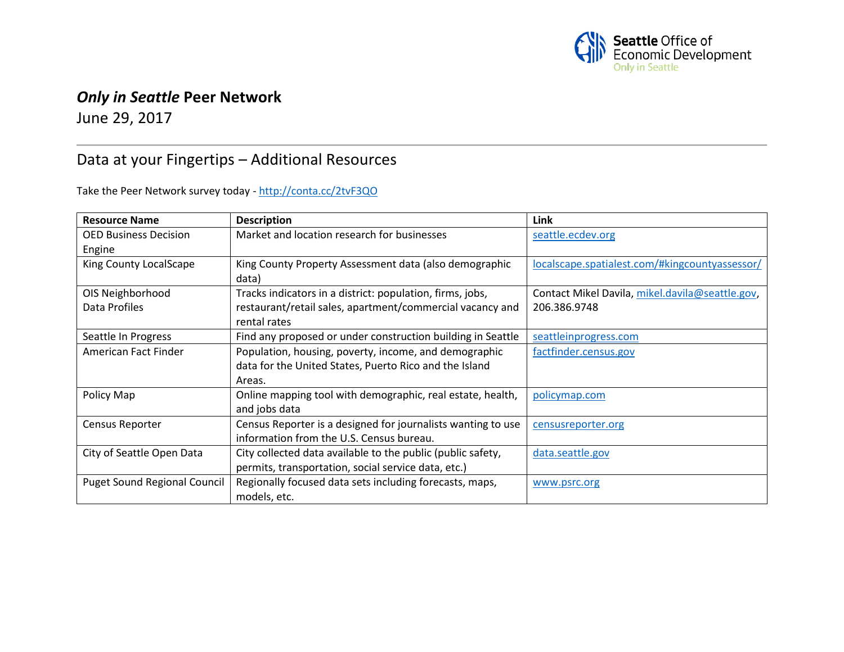

## *Only in Seattle* **Peer Network**

June 29, 2017

## Data at your Fingertips – Additional Resources

Take the Peer Network survey today - <http://conta.cc/2tvF3QO>

| <b>Resource Name</b>                | <b>Description</b>                                           | Link                                            |
|-------------------------------------|--------------------------------------------------------------|-------------------------------------------------|
| <b>OED Business Decision</b>        | Market and location research for businesses                  | seattle.ecdev.org                               |
| Engine                              |                                                              |                                                 |
| King County LocalScape              | King County Property Assessment data (also demographic       | localscape.spatialest.com/#kingcountyassessor/  |
|                                     | data)                                                        |                                                 |
| OIS Neighborhood                    | Tracks indicators in a district: population, firms, jobs,    | Contact Mikel Davila, mikel.davila@seattle.gov, |
| Data Profiles                       | restaurant/retail sales, apartment/commercial vacancy and    | 206.386.9748                                    |
|                                     | rental rates                                                 |                                                 |
| Seattle In Progress                 | Find any proposed or under construction building in Seattle  | seattleinprogress.com                           |
| American Fact Finder                | Population, housing, poverty, income, and demographic        | factfinder.census.gov                           |
|                                     | data for the United States, Puerto Rico and the Island       |                                                 |
|                                     | Areas.                                                       |                                                 |
| Policy Map                          | Online mapping tool with demographic, real estate, health,   | policymap.com                                   |
|                                     | and jobs data                                                |                                                 |
| Census Reporter                     | Census Reporter is a designed for journalists wanting to use | censusreporter.org                              |
|                                     | information from the U.S. Census bureau.                     |                                                 |
| City of Seattle Open Data           | City collected data available to the public (public safety,  | data.seattle.gov                                |
|                                     | permits, transportation, social service data, etc.)          |                                                 |
| <b>Puget Sound Regional Council</b> | Regionally focused data sets including forecasts, maps,      | www.psrc.org                                    |
|                                     | models, etc.                                                 |                                                 |